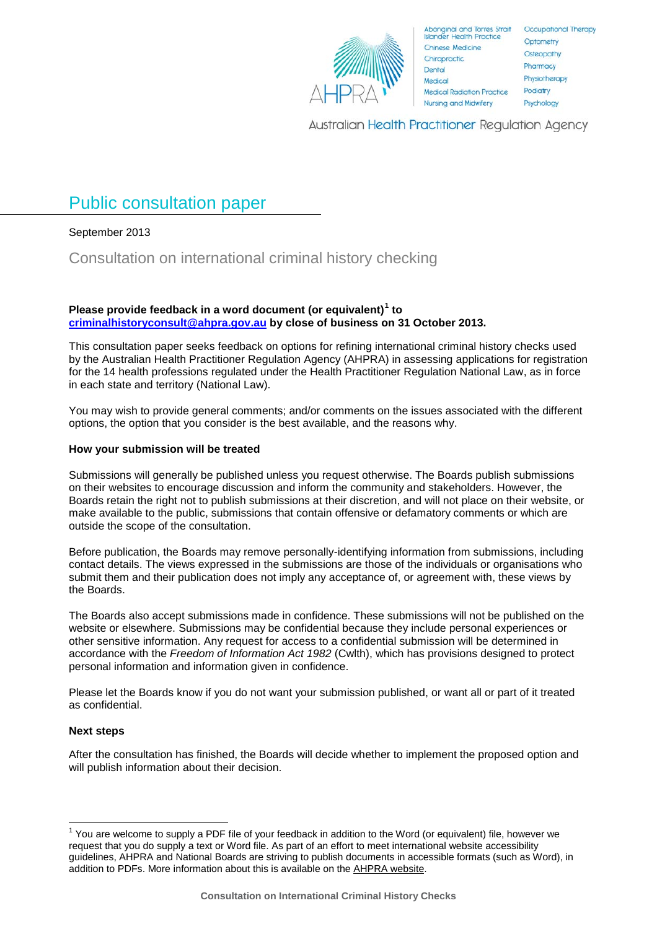

**Aboriginal and Torres Strait** er Health Practice Island Chinese Medicine Chiropractic Dental Medical **Medical Radiation Practice** Nursing and Midwifery

Occupational Therapy Optometry Osteopathy Pharmacy Physiotherapy Podiatry Psychology

Australian Health Practitioner Regulation Agency

# <span id="page-0-1"></span>Public consultation paper

## September 2013

## Consultation on international criminal history checking

#### **Please provide feedback in a word document (or equivalent)[1](#page-0-0) to [criminalhistoryconsult@ahpra.gov.au](mailto:criminalhistoryconsult@ahpra.gov.au) by close of business on 31 October 2013.**

This consultation paper seeks feedback on options for refining international criminal history checks used by the Australian Health Practitioner Regulation Agency (AHPRA) in assessing applications for registration for the 14 health professions regulated under the Health Practitioner Regulation National Law, as in force in each state and territory (National Law).

You may wish to provide general comments; and/or comments on the issues associated with the different options, the option that you consider is the best available, and the reasons why.

### **How your submission will be treated**

Submissions will generally be published unless you request otherwise. The Boards publish submissions on their websites to encourage discussion and inform the community and stakeholders. However, the Boards retain the right not to publish submissions at their discretion, and will not place on their website, or make available to the public, submissions that contain offensive or defamatory comments or which are outside the scope of the consultation.

Before publication, the Boards may remove personally-identifying information from submissions, including contact details. The views expressed in the submissions are those of the individuals or organisations who submit them and their publication does not imply any acceptance of, or agreement with, these views by the Boards.

The Boards also accept submissions made in confidence. These submissions will not be published on the website or elsewhere. Submissions may be confidential because they include personal experiences or other sensitive information. Any request for access to a confidential submission will be determined in accordance with the *Freedom of Information Act 1982* (Cwlth), which has provisions designed to protect personal information and information given in confidence.

Please let the Boards know if you do not want your submission published, or want all or part of it treated as confidential.

### **Next steps**

After the consultation has finished, the Boards will decide whether to implement the proposed option and will publish information about their decision.

<span id="page-0-0"></span> $1$  You are welcome to supply a PDF file of your feedback in addition to the Word (or equivalent) file, however we request that you do supply a text or Word file. As part of an effort to meet international website accessibility guidelines, AHPRA and National Boards are striving to publish documents in accessible formats (such as Word), in addition to PDFs. More information about this is available on the [AHPRA website.](http://www.ahpra.gov.au/About-AHPRA/Accessibility.aspx)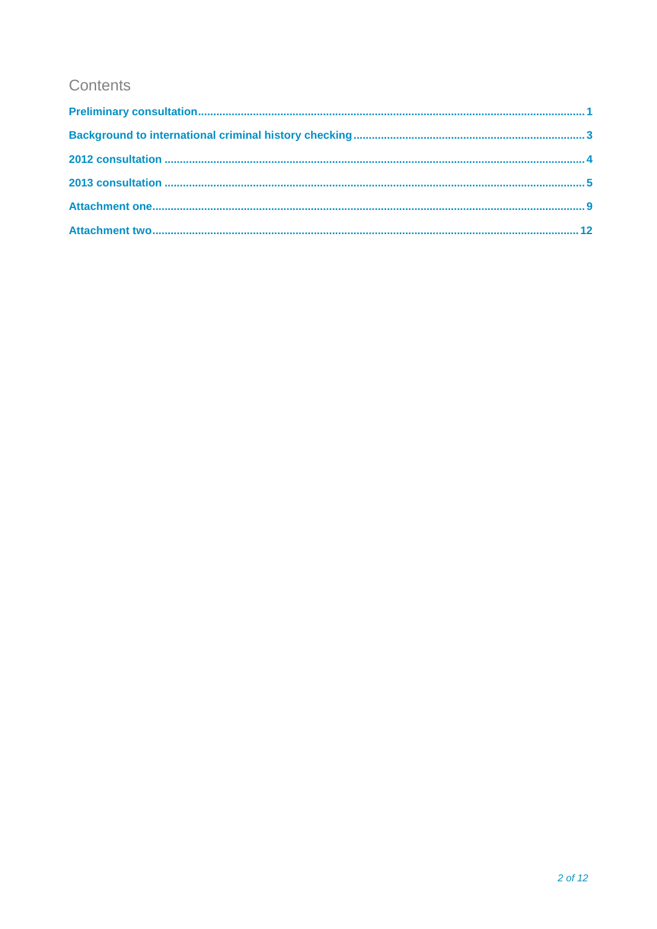## Contents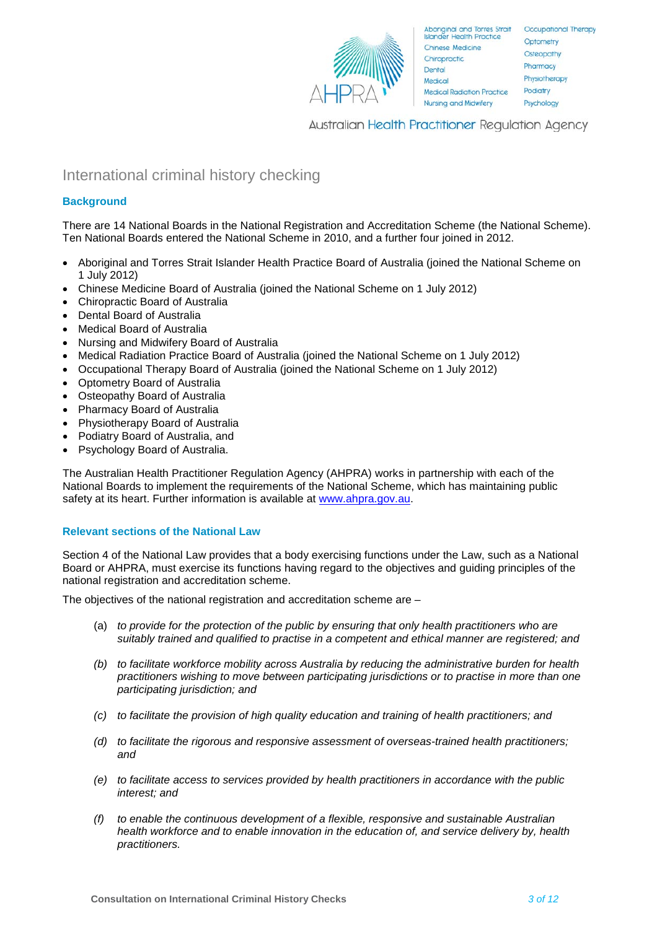

Aboriginal and Torres Strait Qccupational Therapy Optometry Osteopathy Pharmacy Physiotherapy Podiatry Psychology

Australian Health Practitioner Regulation Agency

## <span id="page-2-0"></span>International criminal history checking

## **Background**

There are 14 National Boards in the National Registration and Accreditation Scheme (the National Scheme). Ten National Boards entered the National Scheme in 2010, and a further four joined in 2012.

- Aboriginal and Torres Strait Islander Health Practice Board of Australia (joined the National Scheme on 1 July 2012)
- Chinese Medicine Board of Australia (joined the National Scheme on 1 July 2012)
- Chiropractic Board of Australia
- Dental Board of Australia
- Medical Board of Australia
- Nursing and Midwifery Board of Australia
- Medical Radiation Practice Board of Australia (joined the National Scheme on 1 July 2012)
- Occupational Therapy Board of Australia (joined the National Scheme on 1 July 2012)
- Optometry Board of Australia
- Osteopathy Board of Australia
- Pharmacy Board of Australia
- Physiotherapy Board of Australia
- Podiatry Board of Australia, and
- Psychology Board of Australia.

The Australian Health Practitioner Regulation Agency (AHPRA) works in partnership with each of the National Boards to implement the requirements of the National Scheme, which has maintaining public safety at its heart. Further information is available at [www.ahpra.gov.au.](http://www.ahpra.gov.au/)

### **Relevant sections of the National Law**

Section 4 of the National Law provides that a body exercising functions under the Law, such as a National Board or AHPRA, must exercise its functions having regard to the objectives and guiding principles of the national registration and accreditation scheme.

The objectives of the national registration and accreditation scheme are –

- (a) *to provide for the protection of the public by ensuring that only health practitioners who are suitably trained and qualified to practise in a competent and ethical manner are registered; and*
- *(b) to facilitate workforce mobility across Australia by reducing the administrative burden for health practitioners wishing to move between participating jurisdictions or to practise in more than one participating jurisdiction; and*
- *(c) to facilitate the provision of high quality education and training of health practitioners; and*
- *(d) to facilitate the rigorous and responsive assessment of overseas-trained health practitioners; and*
- *(e) to facilitate access to services provided by health practitioners in accordance with the public interest; and*
- *(f) to enable the continuous development of a flexible, responsive and sustainable Australian health workforce and to enable innovation in the education of, and service delivery by, health practitioners.*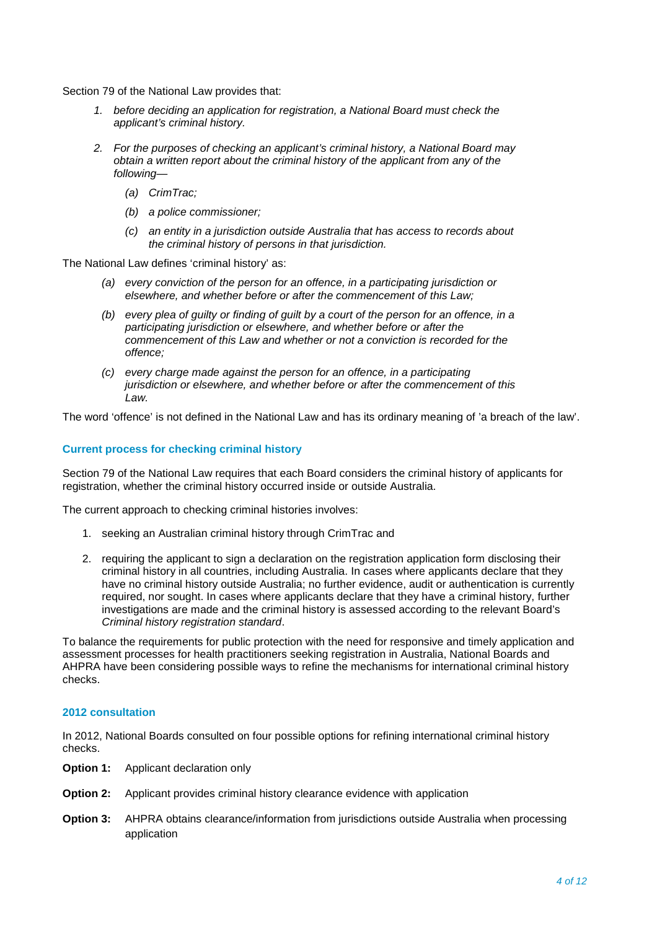Section 79 of the National Law provides that:

- *1. before deciding an application for registration, a National Board must check the applicant's criminal history.*
- *2. For the purposes of checking an applicant's criminal history, a National Board may obtain a written report about the criminal history of the applicant from any of the following—*
	- *(a) CrimTrac;*
	- *(b) a police commissioner;*
	- *(c) an entity in a jurisdiction outside Australia that has access to records about the criminal history of persons in that jurisdiction.*

The National Law defines 'criminal history' as:

- *(a) every conviction of the person for an offence, in a participating jurisdiction or elsewhere, and whether before or after the commencement of this Law;*
- *(b) every plea of guilty or finding of guilt by a court of the person for an offence, in a participating jurisdiction or elsewhere, and whether before or after the commencement of this Law and whether or not a conviction is recorded for the offence;*
- *(c) every charge made against the person for an offence, in a participating jurisdiction or elsewhere, and whether before or after the commencement of this Law.*

The word 'offence' is not defined in the National Law and has its ordinary meaning of 'a breach of the law'.

#### **Current process for checking criminal history**

Section 79 of the National Law requires that each Board considers the criminal history of applicants for registration, whether the criminal history occurred inside or outside Australia.

The current approach to checking criminal histories involves:

- 1. seeking an Australian criminal history through CrimTrac and
- 2. requiring the applicant to sign a declaration on the registration application form disclosing their criminal history in all countries, including Australia. In cases where applicants declare that they have no criminal history outside Australia; no further evidence, audit or authentication is currently required, nor sought. In cases where applicants declare that they have a criminal history, further investigations are made and the criminal history is assessed according to the relevant Board's *Criminal history registration standard*.

To balance the requirements for public protection with the need for responsive and timely application and assessment processes for health practitioners seeking registration in Australia, National Boards and AHPRA have been considering possible ways to refine the mechanisms for international criminal history checks.

#### **2012 consultation**

In 2012, National Boards consulted on four possible options for refining international criminal history checks.

- **Option 1:** Applicant declaration only
- **Option 2:** Applicant provides criminal history clearance evidence with application
- **Option 3:** AHPRA obtains clearance/information from jurisdictions outside Australia when processing application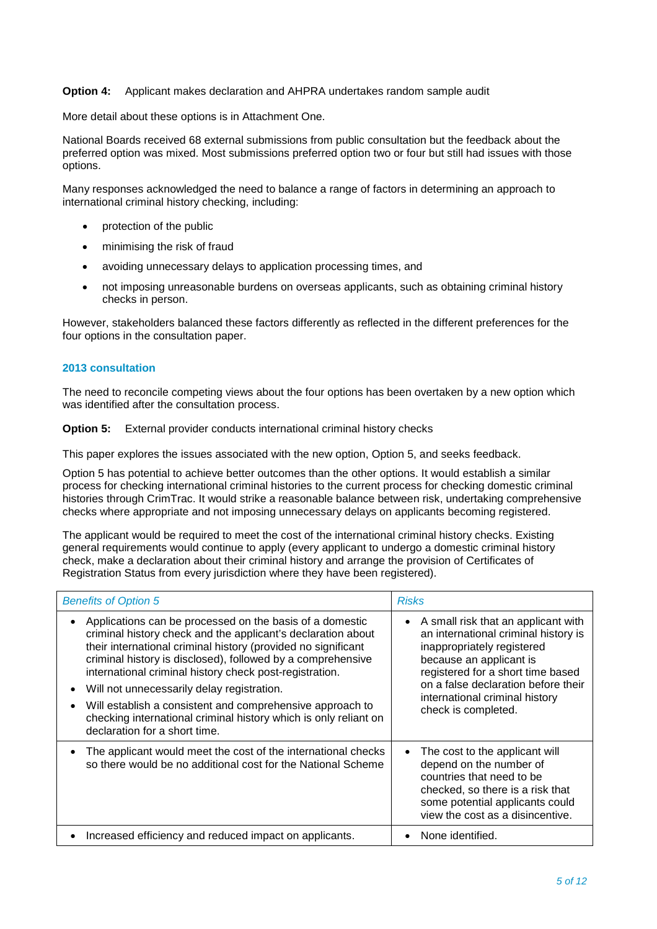#### **Option 4:** Applicant makes declaration and AHPRA undertakes random sample audit

More detail about these options is in Attachment One.

National Boards received 68 external submissions from public consultation but the feedback about the preferred option was mixed. Most submissions preferred option two or four but still had issues with those options.

Many responses acknowledged the need to balance a range of factors in determining an approach to international criminal history checking, including:

- protection of the public
- minimising the risk of fraud
- avoiding unnecessary delays to application processing times, and
- not imposing unreasonable burdens on overseas applicants, such as obtaining criminal history checks in person.

However, stakeholders balanced these factors differently as reflected in the different preferences for the four options in the consultation paper.

#### **2013 consultation**

The need to reconcile competing views about the four options has been overtaken by a new option which was identified after the consultation process.

**Option 5:** External provider conducts international criminal history checks

This paper explores the issues associated with the new option, Option 5, and seeks feedback.

Option 5 has potential to achieve better outcomes than the other options. It would establish a similar process for checking international criminal histories to the current process for checking domestic criminal histories through CrimTrac. It would strike a reasonable balance between risk, undertaking comprehensive checks where appropriate and not imposing unnecessary delays on applicants becoming registered.

The applicant would be required to meet the cost of the international criminal history checks. Existing general requirements would continue to apply (every applicant to undergo a domestic criminal history check, make a declaration about their criminal history and arrange the provision of Certificates of Registration Status from every jurisdiction where they have been registered).

| <b>Benefits of Option 5</b>                                                                                                                                                                                                                                                                                                                                                                                                                                                                                                         | <b>Risks</b>                                                                                                                                                                                                                                                              |
|-------------------------------------------------------------------------------------------------------------------------------------------------------------------------------------------------------------------------------------------------------------------------------------------------------------------------------------------------------------------------------------------------------------------------------------------------------------------------------------------------------------------------------------|---------------------------------------------------------------------------------------------------------------------------------------------------------------------------------------------------------------------------------------------------------------------------|
| Applications can be processed on the basis of a domestic<br>criminal history check and the applicant's declaration about<br>their international criminal history (provided no significant<br>criminal history is disclosed), followed by a comprehensive<br>international criminal history check post-registration.<br>Will not unnecessarily delay registration.<br>Will establish a consistent and comprehensive approach to<br>checking international criminal history which is only reliant on<br>declaration for a short time. | A small risk that an applicant with<br>an international criminal history is<br>inappropriately registered<br>because an applicant is<br>registered for a short time based<br>on a false declaration before their<br>international criminal history<br>check is completed. |
| The applicant would meet the cost of the international checks<br>so there would be no additional cost for the National Scheme                                                                                                                                                                                                                                                                                                                                                                                                       | The cost to the applicant will<br>$\bullet$<br>depend on the number of<br>countries that need to be<br>checked, so there is a risk that<br>some potential applicants could<br>view the cost as a disincentive.                                                            |
| Increased efficiency and reduced impact on applicants.                                                                                                                                                                                                                                                                                                                                                                                                                                                                              | None identified.                                                                                                                                                                                                                                                          |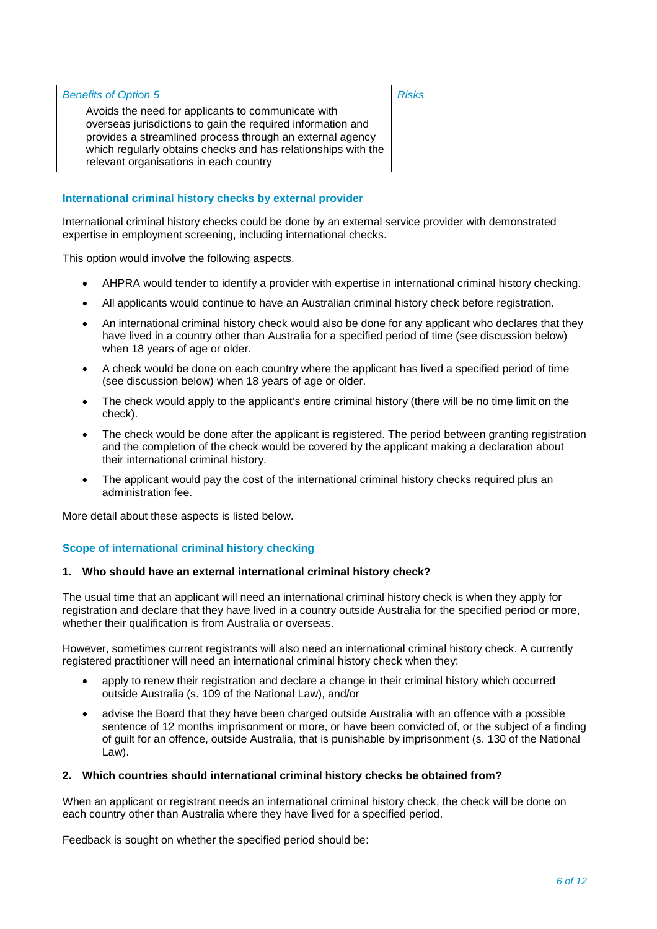| <b>Benefits of Option 5</b>                                                                                                                                                                                                                                                               | <b>Risks</b> |
|-------------------------------------------------------------------------------------------------------------------------------------------------------------------------------------------------------------------------------------------------------------------------------------------|--------------|
| Avoids the need for applicants to communicate with<br>overseas jurisdictions to gain the required information and<br>provides a streamlined process through an external agency<br>which regularly obtains checks and has relationships with the<br>relevant organisations in each country |              |

## **International criminal history checks by external provider**

International criminal history checks could be done by an external service provider with demonstrated expertise in employment screening, including international checks.

This option would involve the following aspects.

- AHPRA would tender to identify a provider with expertise in international criminal history checking.
- All applicants would continue to have an Australian criminal history check before registration.
- An international criminal history check would also be done for any applicant who declares that they have lived in a country other than Australia for a specified period of time (see discussion below) when 18 years of age or older.
- A check would be done on each country where the applicant has lived a specified period of time (see discussion below) when 18 years of age or older.
- The check would apply to the applicant's entire criminal history (there will be no time limit on the check).
- The check would be done after the applicant is registered. The period between granting registration and the completion of the check would be covered by the applicant making a declaration about their international criminal history.
- The applicant would pay the cost of the international criminal history checks required plus an administration fee.

More detail about these aspects is listed below.

### **Scope of international criminal history checking**

### **1. Who should have an external international criminal history check?**

The usual time that an applicant will need an international criminal history check is when they apply for registration and declare that they have lived in a country outside Australia for the specified period or more, whether their qualification is from Australia or overseas.

However, sometimes current registrants will also need an international criminal history check. A currently registered practitioner will need an international criminal history check when they:

- apply to renew their registration and declare a change in their criminal history which occurred outside Australia (s. 109 of the National Law), and/or
- advise the Board that they have been charged outside Australia with an offence with a possible sentence of 12 months imprisonment or more, or have been convicted of, or the subject of a finding of guilt for an offence, outside Australia, that is punishable by imprisonment (s. 130 of the National Law).

#### **2. Which countries should international criminal history checks be obtained from?**

When an applicant or registrant needs an international criminal history check, the check will be done on each country other than Australia where they have lived for a specified period.

Feedback is sought on whether the specified period should be: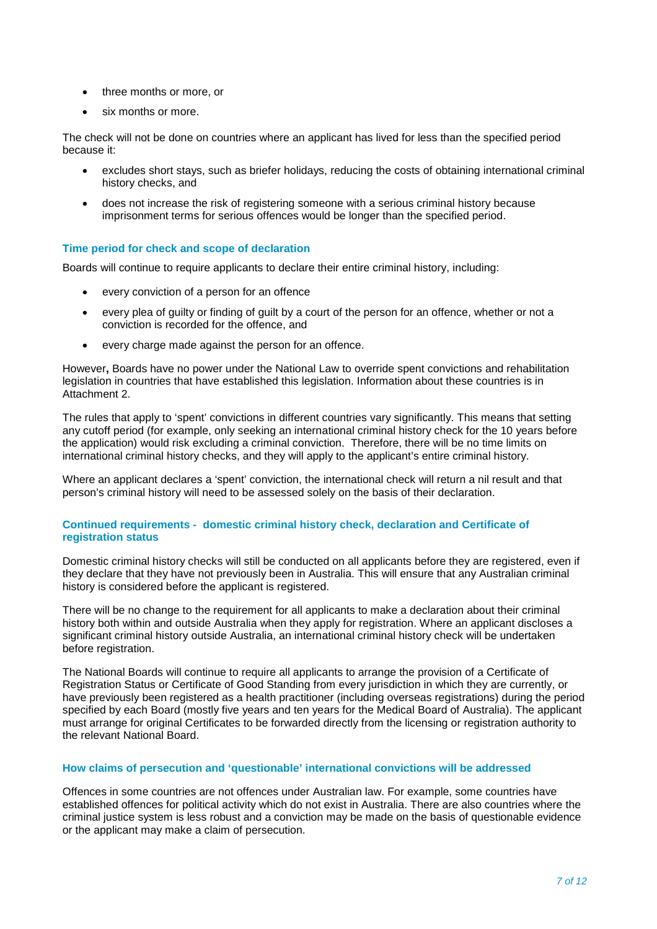- three months or more, or
- six months or more.

The check will not be done on countries where an applicant has lived for less than the specified period because it:

- excludes short stays, such as briefer holidays, reducing the costs of obtaining international criminal history checks, and
- does not increase the risk of registering someone with a serious criminal history because imprisonment terms for serious offences would be longer than the specified period.

#### **Time period for check and scope of declaration**

Boards will continue to require applicants to declare their entire criminal history, including:

- every conviction of a person for an offence
- every plea of guilty or finding of guilt by a court of the person for an offence, whether or not a conviction is recorded for the offence, and
- every charge made against the person for an offence.

However**,** Boards have no power under the National Law to override spent convictions and rehabilitation legislation in countries that have established this legislation. Information about these countries is in Attachment 2.

The rules that apply to 'spent' convictions in different countries vary significantly. This means that setting any cutoff period (for example, only seeking an international criminal history check for the 10 years before the application) would risk excluding a criminal conviction. Therefore, there will be no time limits on international criminal history checks, and they will apply to the applicant's entire criminal history.

Where an applicant declares a 'spent' conviction, the international check will return a nil result and that person's criminal history will need to be assessed solely on the basis of their declaration.

#### **Continued requirements - domestic criminal history check, declaration and Certificate of registration status**

Domestic criminal history checks will still be conducted on all applicants before they are registered, even if they declare that they have not previously been in Australia. This will ensure that any Australian criminal history is considered before the applicant is registered.

There will be no change to the requirement for all applicants to make a declaration about their criminal history both within and outside Australia when they apply for registration. Where an applicant discloses a significant criminal history outside Australia, an international criminal history check will be undertaken before registration.

The National Boards will continue to require all applicants to arrange the provision of a Certificate of Registration Status or Certificate of Good Standing from every jurisdiction in which they are currently, or have previously been registered as a health practitioner (including overseas registrations) during the period specified by each Board (mostly five years and ten years for the Medical Board of Australia). The applicant must arrange for original Certificates to be forwarded directly from the licensing or registration authority to the relevant National Board.

#### **How claims of persecution and 'questionable' international convictions will be addressed**

Offences in some countries are not offences under Australian law. For example, some countries have established offences for political activity which do not exist in Australia. There are also countries where the criminal justice system is less robust and a conviction may be made on the basis of questionable evidence or the applicant may make a claim of persecution.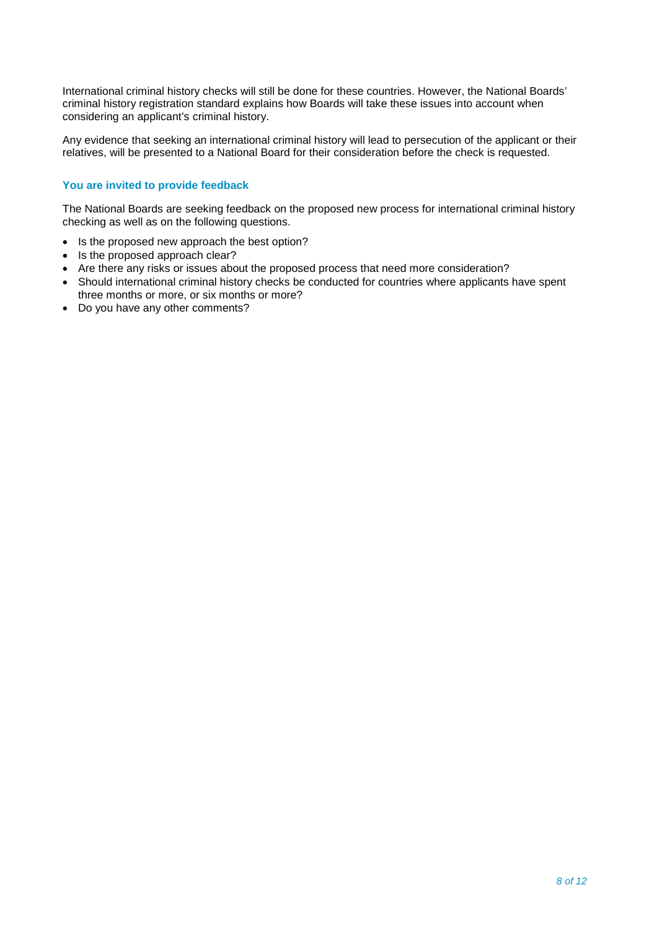International criminal history checks will still be done for these countries. However, the National Boards' criminal history registration standard explains how Boards will take these issues into account when considering an applicant's criminal history.

Any evidence that seeking an international criminal history will lead to persecution of the applicant or their relatives, will be presented to a National Board for their consideration before the check is requested.

## **You are invited to provide feedback**

The National Boards are seeking feedback on the proposed new process for international criminal history checking as well as on the following questions.

- Is the proposed new approach the best option?
- Is the proposed approach clear?
- Are there any risks or issues about the proposed process that need more consideration?
- Should international criminal history checks be conducted for countries where applicants have spent three months or more, or six months or more?
- Do you have any other comments?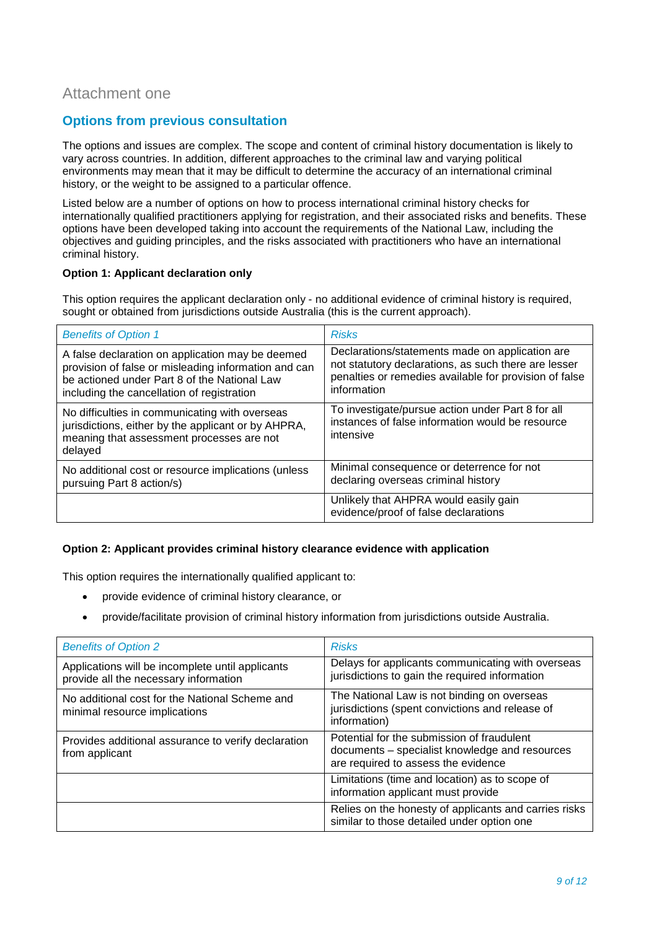## <span id="page-8-0"></span>Attachment one

## **Options from previous consultation**

The options and issues are complex. The scope and content of criminal history documentation is likely to vary across countries. In addition, different approaches to the criminal law and varying political environments may mean that it may be difficult to determine the accuracy of an international criminal history, or the weight to be assigned to a particular offence.

Listed below are a number of options on how to process international criminal history checks for internationally qualified practitioners applying for registration, and their associated risks and benefits. These options have been developed taking into account the requirements of the National Law, including the objectives and guiding principles, and the risks associated with practitioners who have an international criminal history.

#### **Option 1: Applicant declaration only**

This option requires the applicant declaration only - no additional evidence of criminal history is required, sought or obtained from jurisdictions outside Australia (this is the current approach).

| <b>Benefits of Option 1</b>                                                                                                                                                                            | <b>Risks</b>                                                                                                                                                                     |
|--------------------------------------------------------------------------------------------------------------------------------------------------------------------------------------------------------|----------------------------------------------------------------------------------------------------------------------------------------------------------------------------------|
| A false declaration on application may be deemed<br>provision of false or misleading information and can<br>be actioned under Part 8 of the National Law<br>including the cancellation of registration | Declarations/statements made on application are<br>not statutory declarations, as such there are lesser<br>penalties or remedies available for provision of false<br>information |
| No difficulties in communicating with overseas<br>jurisdictions, either by the applicant or by AHPRA,<br>meaning that assessment processes are not<br>delayed                                          | To investigate/pursue action under Part 8 for all<br>instances of false information would be resource<br>intensive                                                               |
| No additional cost or resource implications (unless<br>pursuing Part 8 action/s)                                                                                                                       | Minimal consequence or deterrence for not<br>declaring overseas criminal history                                                                                                 |
|                                                                                                                                                                                                        | Unlikely that AHPRA would easily gain<br>evidence/proof of false declarations                                                                                                    |

### **Option 2: Applicant provides criminal history clearance evidence with application**

This option requires the internationally qualified applicant to:

- provide evidence of criminal history clearance, or
- provide/facilitate provision of criminal history information from jurisdictions outside Australia.

| <b>Benefits of Option 2</b>                                                               | <b>Risks</b>                                                                                                                        |
|-------------------------------------------------------------------------------------------|-------------------------------------------------------------------------------------------------------------------------------------|
| Applications will be incomplete until applicants<br>provide all the necessary information | Delays for applicants communicating with overseas<br>jurisdictions to gain the required information                                 |
| No additional cost for the National Scheme and<br>minimal resource implications           | The National Law is not binding on overseas<br>jurisdictions (spent convictions and release of<br>information)                      |
| Provides additional assurance to verify declaration<br>from applicant                     | Potential for the submission of fraudulent<br>documents - specialist knowledge and resources<br>are required to assess the evidence |
|                                                                                           | Limitations (time and location) as to scope of<br>information applicant must provide                                                |
|                                                                                           | Relies on the honesty of applicants and carries risks<br>similar to those detailed under option one                                 |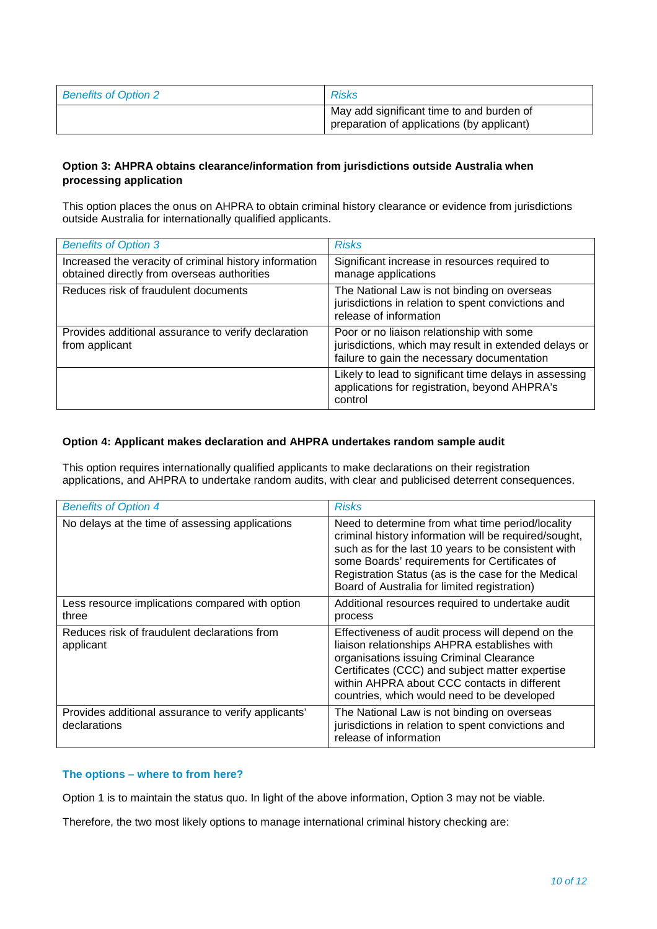| <b>Benefits of Option 2</b> | <b>Risks</b>                                                                            |
|-----------------------------|-----------------------------------------------------------------------------------------|
|                             | May add significant time to and burden of<br>preparation of applications (by applicant) |

## **Option 3: AHPRA obtains clearance/information from jurisdictions outside Australia when processing application**

This option places the onus on AHPRA to obtain criminal history clearance or evidence from jurisdictions outside Australia for internationally qualified applicants.

| <b>Benefits of Option 3</b>                                                                           | <b>Risks</b>                                                                                                                                      |
|-------------------------------------------------------------------------------------------------------|---------------------------------------------------------------------------------------------------------------------------------------------------|
| Increased the veracity of criminal history information<br>obtained directly from overseas authorities | Significant increase in resources required to<br>manage applications                                                                              |
| Reduces risk of fraudulent documents                                                                  | The National Law is not binding on overseas<br>jurisdictions in relation to spent convictions and<br>release of information                       |
| Provides additional assurance to verify declaration<br>from applicant                                 | Poor or no liaison relationship with some<br>jurisdictions, which may result in extended delays or<br>failure to gain the necessary documentation |
|                                                                                                       | Likely to lead to significant time delays in assessing<br>applications for registration, beyond AHPRA's<br>control                                |

#### **Option 4: Applicant makes declaration and AHPRA undertakes random sample audit**

This option requires internationally qualified applicants to make declarations on their registration applications, and AHPRA to undertake random audits, with clear and publicised deterrent consequences.

| <b>Benefits of Option 4</b>                                         | <b>Risks</b>                                                                                                                                                                                                                                                                                                             |
|---------------------------------------------------------------------|--------------------------------------------------------------------------------------------------------------------------------------------------------------------------------------------------------------------------------------------------------------------------------------------------------------------------|
| No delays at the time of assessing applications                     | Need to determine from what time period/locality<br>criminal history information will be required/sought,<br>such as for the last 10 years to be consistent with<br>some Boards' requirements for Certificates of<br>Registration Status (as is the case for the Medical<br>Board of Australia for limited registration) |
| Less resource implications compared with option<br>three            | Additional resources required to undertake audit<br>process                                                                                                                                                                                                                                                              |
| Reduces risk of fraudulent declarations from<br>applicant           | Effectiveness of audit process will depend on the<br>liaison relationships AHPRA establishes with<br>organisations issuing Criminal Clearance<br>Certificates (CCC) and subject matter expertise<br>within AHPRA about CCC contacts in different<br>countries, which would need to be developed                          |
| Provides additional assurance to verify applicants'<br>declarations | The National Law is not binding on overseas<br>jurisdictions in relation to spent convictions and<br>release of information                                                                                                                                                                                              |

### **The options – where to from here?**

Option 1 is to maintain the status quo. In light of the above information, Option 3 may not be viable.

Therefore, the two most likely options to manage international criminal history checking are: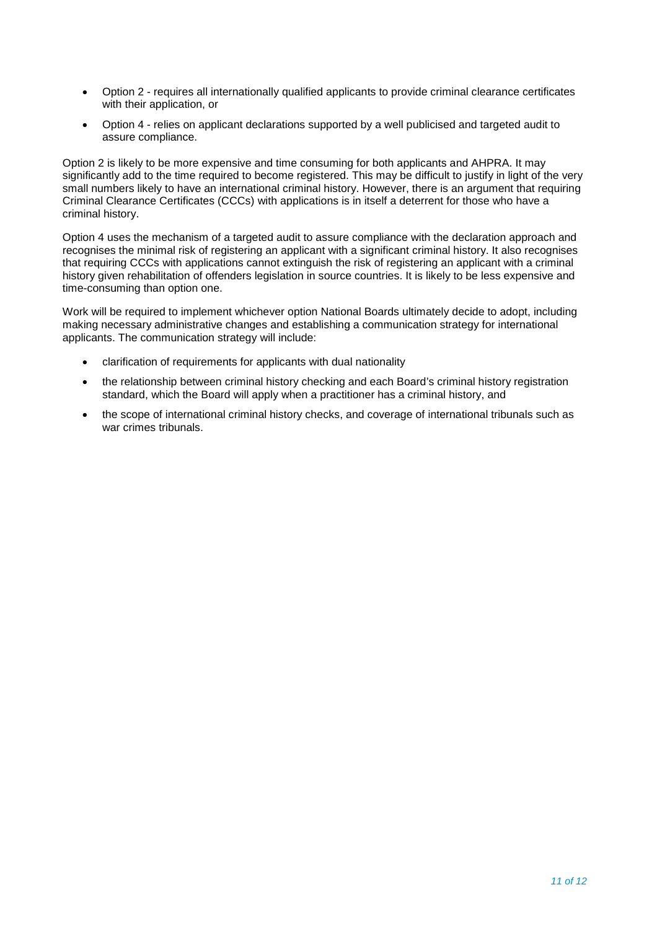- Option 2 requires all internationally qualified applicants to provide criminal clearance certificates with their application, or
- Option 4 relies on applicant declarations supported by a well publicised and targeted audit to assure compliance.

Option 2 is likely to be more expensive and time consuming for both applicants and AHPRA. It may significantly add to the time required to become registered. This may be difficult to justify in light of the very small numbers likely to have an international criminal history. However, there is an argument that requiring Criminal Clearance Certificates (CCCs) with applications is in itself a deterrent for those who have a criminal history.

Option 4 uses the mechanism of a targeted audit to assure compliance with the declaration approach and recognises the minimal risk of registering an applicant with a significant criminal history. It also recognises that requiring CCCs with applications cannot extinguish the risk of registering an applicant with a criminal history given rehabilitation of offenders legislation in source countries. It is likely to be less expensive and time-consuming than option one.

Work will be required to implement whichever option National Boards ultimately decide to adopt, including making necessary administrative changes and establishing a communication strategy for international applicants. The communication strategy will include:

- clarification of requirements for applicants with dual nationality
- the relationship between criminal history checking and each Board's criminal history registration standard, which the Board will apply when a practitioner has a criminal history, and
- the scope of international criminal history checks, and coverage of international tribunals such as war crimes tribunals.